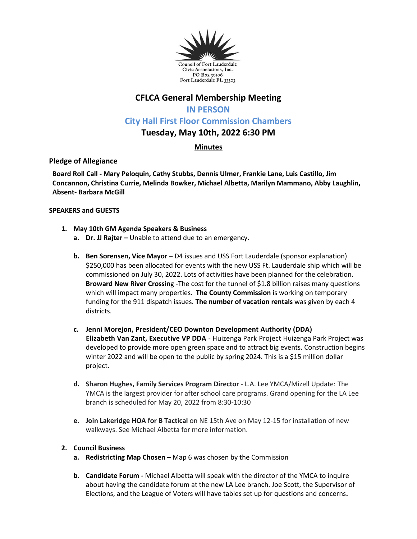

# **CFLCA General Membership Meeting**

## **IN PERSON**

**City Hall First Floor Commission Chambers**

## **Tuesday, May 10th, 2022 6:30 PM**

## **Minutes**

**Pledge of Allegiance**

**Board Roll Call - Mary Peloquin, Cathy Stubbs, Dennis Ulmer, Frankie Lane, Luis Castillo, Jim Concannon, Christina Currie, Melinda Bowker, Michael Albetta, Marilyn Mammano, Abby Laughlin, Absent- Barbara McGill**

#### **SPEAKERS and GUESTS**

- **1. May 10th GM Agenda Speakers & Business**
	- **a. Dr. JJ Rajter –** Unable to attend due to an emergency.
	- **b.** Ben Sorensen, Vice Mayor D4 issues and USS Fort Lauderdale (sponsor explanation) \$250,000 has been allocated for events with the new USS Ft. Lauderdale ship which will be commissioned on July 30, 2022. Lots of activities have been planned for the celebration. **Broward New River Crossin**g -The cost for the tunnel of \$1.8 billion raises many questions which will impact many properties. **The County Commission** is working on temporary funding for the 911 dispatch issues. **The number of vacation rentals** was given by each 4 districts.
	- **c. Jenni Morejon, President/CEO Downton Development Authority (DDA) Elizabeth Van Zant, Executive VP DDA** - Huizenga Park Project Huizenga Park Project was developed to provide more open green space and to attract big events. Construction begins winter 2022 and will be open to the public by spring 2024. This is a \$15 million dollar project.
	- **d. Sharon Hughes, Family Services Program Director**  L.A. Lee YMCA/Mizell Update: The YMCA is the largest provider for after school care programs. Grand opening for the LA Lee branch is scheduled for May 20, 2022 from 8:30-10:30
	- **e. Join Lakeridge HOA for B Tactical** on NE 15th Ave on May 12-15 for installation of new walkways. See Michael Albetta for more information.

### **2. Council Business**

- **a. Redistricting Map Chosen –** Map 6 was chosen by the Commission
- **b. Candidate Forum -** Michael Albetta will speak with the director of the YMCA to inquire about having the candidate forum at the new LA Lee branch. Joe Scott, the Supervisor of Elections, and the League of Voters will have tables set up for questions and concerns**.**